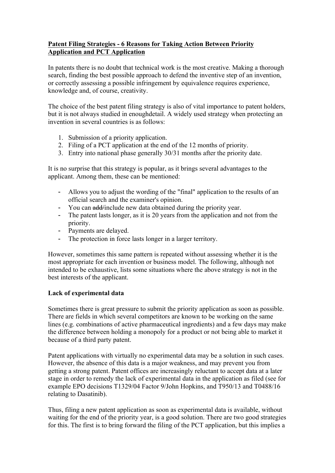## **Patent Filing Strategies - 6 Reasons for Taking Action Between Priority Application and PCT Application**

In patents there is no doubt that technical work is the most creative. Making a thorough search, finding the best possible approach to defend the inventive step of an invention, or correctly assessing a possible infringement by equivalence requires experience, knowledge and, of course, creativity.

The choice of the best patent filing strategy is also of vital importance to patent holders, but it is not always studied in enoughdetail. A widely used strategy when protecting an invention in several countries is as follows:

- 1. Submission of a priority application.
- 2. Filing of a PCT application at the end of the 12 months of priority.
- 3. Entry into national phase generally 30/31 months after the priority date.

It is no surprise that this strategy is popular, as it brings several advantages to the applicant. Among them, these can be mentioned:

- Allows you to adjust the wording of the "final" application to the results of an official search and the examiner's opinion.
- You can add/include new data obtained during the priority year.
- The patent lasts longer, as it is 20 years from the application and not from the priority.
- Payments are delayed.
- The protection in force lasts longer in a larger territory.

However, sometimes this same pattern is repeated without assessing whether it is the most appropriate for each invention or business model. The following, although not intended to be exhaustive, lists some situations where the above strategy is not in the best interests of the applicant.

### **Lack of experimental data**

Sometimes there is great pressure to submit the priority application as soon as possible. There are fields in which several competitors are known to be working on the same lines (e.g. combinations of active pharmaceutical ingredients) and a few days may make the difference between holding a monopoly for a product or not being able to market it because of a third party patent.

Patent applications with virtually no experimental data may be a solution in such cases. However, the absence of this data is a major weakness, and may prevent you from getting a strong patent. Patent offices are increasingly reluctant to accept data at a later stage in order to remedy the lack of experimental data in the application as filed (see for example EPO decisions T1329/04 Factor 9/John Hopkins, and T950/13 and T0488/16 relating to Dasatinib).

Thus, filing a new patent application as soon as experimental data is available, without waiting for the end of the priority year, is a good solution. There are two good strategies for this. The first is to bring forward the filing of the PCT application, but this implies a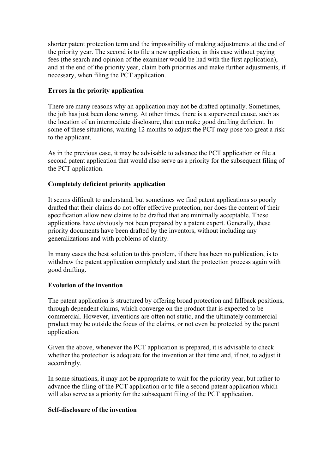shorter patent protection term and the impossibility of making adjustments at the end of the priority year. The second is to file a new application, in this case without paying fees (the search and opinion of the examiner would be had with the first application), and at the end of the priority year, claim both priorities and make further adjustments, if necessary, when filing the PCT application.

### **Errors in the priority application**

There are many reasons why an application may not be drafted optimally. Sometimes, the job has just been done wrong. At other times, there is a supervened cause, such as the location of an intermediate disclosure, that can make good drafting deficient. In some of these situations, waiting 12 months to adjust the PCT may pose too great a risk to the applicant.

As in the previous case, it may be advisable to advance the PCT application or file a second patent application that would also serve as a priority for the subsequent filing of the PCT application.

### **Completely deficient priority application**

It seems difficult to understand, but sometimes we find patent applications so poorly drafted that their claims do not offer effective protection, nor does the content of their specification allow new claims to be drafted that are minimally acceptable. These applications have obviously not been prepared by a patent expert. Generally, these priority documents have been drafted by the inventors, without including any generalizations and with problems of clarity.

In many cases the best solution to this problem, if there has been no publication, is to withdraw the patent application completely and start the protection process again with good drafting.

#### **Evolution of the invention**

The patent application is structured by offering broad protection and fallback positions, through dependent claims, which converge on the product that is expected to be commercial. However, inventions are often not static, and the ultimately commercial product may be outside the focus of the claims, or not even be protected by the patent application.

Given the above, whenever the PCT application is prepared, it is advisable to check whether the protection is adequate for the invention at that time and, if not, to adjust it accordingly.

In some situations, it may not be appropriate to wait for the priority year, but rather to advance the filing of the PCT application or to file a second patent application which will also serve as a priority for the subsequent filing of the PCT application.

### **Self-disclosure of the invention**